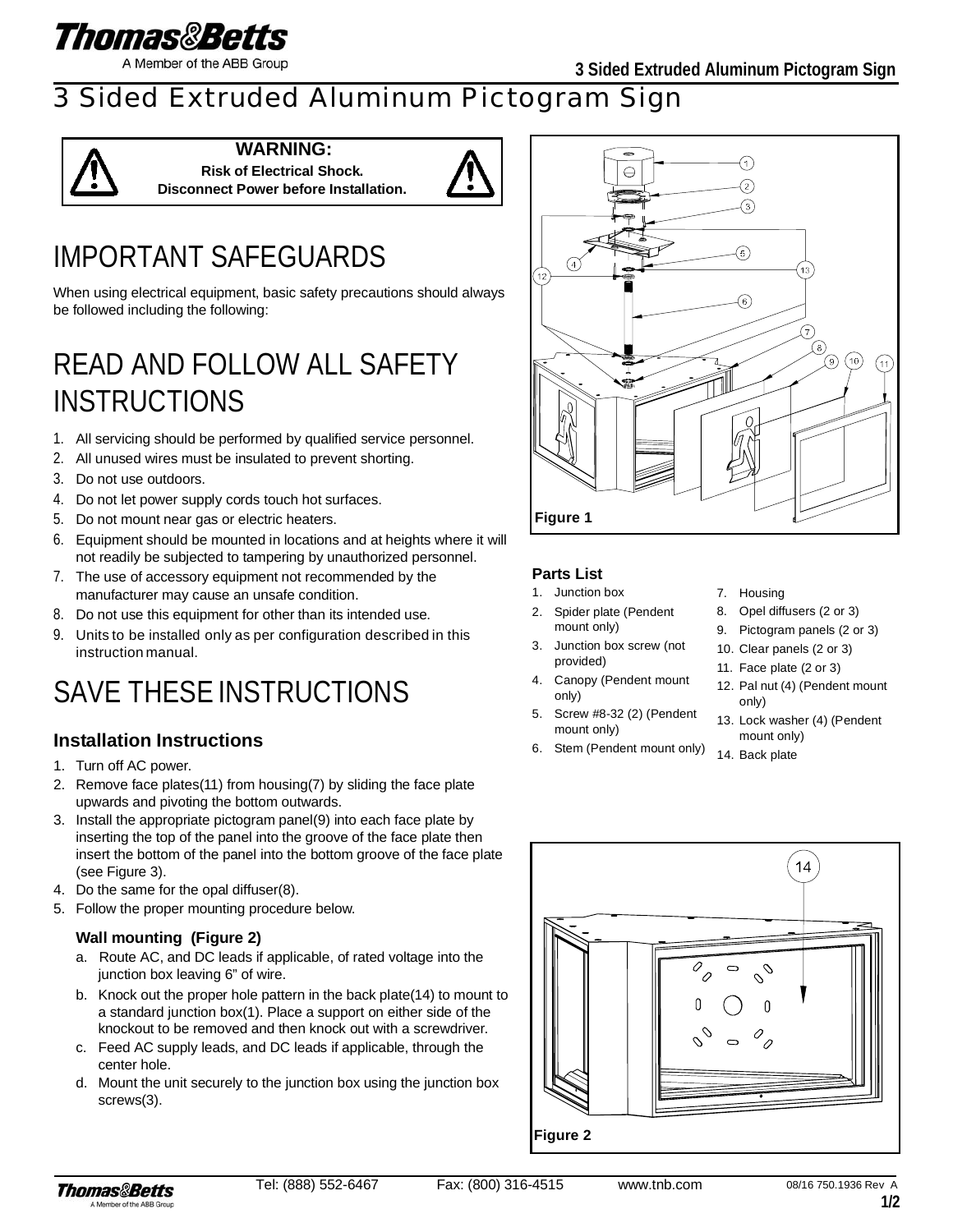

A Member of the ABB Group

### 3 Sided Extruded Aluminum Pictogram Sign



**WARNING: Risk of Electrical Shock. Disconnect Power before Installation.**



# IMPORTANT SAFEGUARDS

When using electrical equipment, basic safety precautions should always be followed including the following:

## READ AND FOLLOW ALL SAFETY INSTRUCTIONS

- 1. All servicing should be performed by qualified service personnel.
- 2. All unused wires must be insulated to prevent shorting.
- 3. Do not use outdoors.
- 4. Do not let power supply cords touch hot surfaces.
- 5. Do not mount near gas or electric heaters.
- 6. Equipment should be mounted in locations and at heights where it will not readily be subjected to tampering by unauthorized personnel.
- 7. The use of accessory equipment not recommended by the manufacturer may cause an unsafe condition.
- 8. Do not use this equipment for other than its intended use.
- 9. Units to be installed only as per configuration described in this instruction manual.

# SAVE THESE INSTRUCTIONS

### **Installation Instructions**

- 1. Turn off AC power.
- 2. Remove face plates(11) from housing(7) by sliding the face plate upwards and pivoting the bottom outwards.
- 3. Install the appropriate pictogram panel(9) into each face plate by inserting the top of the panel into the groove of the face plate then insert the bottom of the panel into the bottom groove of the face plate (see Figure 3).
- 4. Do the same for the opal diffuser(8).
- 5. Follow the proper mounting procedure below.

#### **Wall mounting (Figure 2)**

- a. Route AC, and DC leads if applicable, of rated voltage into the junction box leaving 6" of wire.
- b. Knock out the proper hole pattern in the back plate(14) to mount to a standard junction box(1). Place a support on either side of the knockout to be removed and then knock out with a screwdriver.
- c. Feed AC supply leads, and DC leads if applicable, through the center hole.
- d. Mount the unit securely to the junction box using the junction box screws(3).



#### **Parts List**

- 1. Junction box
- 2. Spider plate (Pendent mount only)
- 3. Junction box screw (not provided)
- 4. Canopy (Pendent mount only)
- 5. Screw #8-32 (2) (Pendent mount only)
- 6. Stem (Pendent mount only)
- 7. Housing
- 8. Opel diffusers (2 or 3)
- 9. Pictogram panels (2 or 3)
- 10. Clear panels (2 or 3)
- 11. Face plate (2 or 3)
- 12. Pal nut (4) (Pendent mount only)
- 13. Lock washer (4) (Pendent mount only)
- 14. Back plate